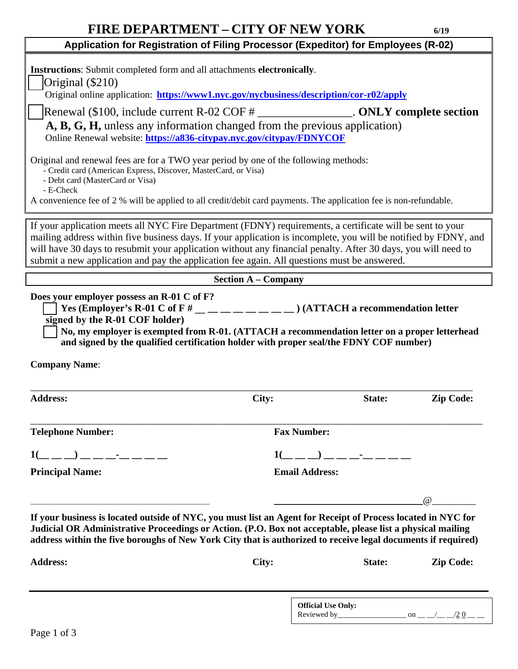| <b>FIRE DEPARTMENT - CITY OF NEW YORK</b>                                                                                                                                                                                                                                                                                                                                                                                                    |                                                                   |        | 6/19             |  |  |
|----------------------------------------------------------------------------------------------------------------------------------------------------------------------------------------------------------------------------------------------------------------------------------------------------------------------------------------------------------------------------------------------------------------------------------------------|-------------------------------------------------------------------|--------|------------------|--|--|
| Application for Registration of Filing Processor (Expeditor) for Employees (R-02)                                                                                                                                                                                                                                                                                                                                                            |                                                                   |        |                  |  |  |
| Instructions: Submit completed form and all attachments electronically.<br>Original $(\$210)$<br>Original online application: https://www1.nyc.gov/nycbusiness/description/cor-r02/apply                                                                                                                                                                                                                                                     |                                                                   |        |                  |  |  |
| Renewal $(\$100,$ include current R-02 COF $#$ _________________. ONLY complete section<br>A, B, G, H, unless any information changed from the previous application)<br>Online Renewal website: https://a836-citypay.nyc.gov/citypay/FDNYCOF                                                                                                                                                                                                 |                                                                   |        |                  |  |  |
| Original and renewal fees are for a TWO year period by one of the following methods:<br>- Credit card (American Express, Discover, MasterCard, or Visa)<br>- Debt card (MasterCard or Visa)<br>- E-Check<br>A convenience fee of 2 % will be applied to all credit/debit card payments. The application fee is non-refundable.                                                                                                               |                                                                   |        |                  |  |  |
| If your application meets all NYC Fire Department (FDNY) requirements, a certificate will be sent to your<br>mailing address within five business days. If your application is incomplete, you will be notified by FDNY, and<br>will have 30 days to resubmit your application without any financial penalty. After 30 days, you will need to<br>submit a new application and pay the application fee again. All questions must be answered. |                                                                   |        |                  |  |  |
| <b>Section A – Company</b>                                                                                                                                                                                                                                                                                                                                                                                                                   |                                                                   |        |                  |  |  |
| Does your employer possess an R-01 C of F?<br>Yes (Employer's R-01 C of F # _ _ _ _ _ _ _ _ _ ) (ATTACH a recommendation letter<br>signed by the R-01 COF holder)<br>No, my employer is exempted from R-01. (ATTACH a recommendation letter on a proper letterhead<br>and signed by the qualified certification holder with proper seal/the FDNY COF number)                                                                                 |                                                                   |        |                  |  |  |
| <b>Company Name:</b>                                                                                                                                                                                                                                                                                                                                                                                                                         |                                                                   |        |                  |  |  |
| <b>Address:</b>                                                                                                                                                                                                                                                                                                                                                                                                                              | City:                                                             | State: | <b>Zip Code:</b> |  |  |
| <b>Telephone Number:</b>                                                                                                                                                                                                                                                                                                                                                                                                                     | <b>Fax Number:</b>                                                |        |                  |  |  |
| $1($ $\qquad$ $\qquad$ $\qquad$ $\qquad$ $\qquad$ $\qquad$ $\qquad$ $\qquad$ $\qquad$ $\qquad$ $\qquad$ $\qquad$ $\qquad$ $\qquad$ $\qquad$ $\qquad$ $\qquad$ $\qquad$ $\qquad$ $\qquad$ $\qquad$ $\qquad$ $\qquad$ $\qquad$ $\qquad$ $\qquad$ $\qquad$ $\qquad$ $\qquad$ $\qquad$ $\qquad$ $\qquad$ $\qquad$ $\qquad$ $\qquad$ $\qquad$                                                                                                     | $1($ _ _ _) _ _ _ _ _ _                                           |        |                  |  |  |
| <b>Principal Name:</b>                                                                                                                                                                                                                                                                                                                                                                                                                       | <b>Email Address:</b>                                             |        |                  |  |  |
|                                                                                                                                                                                                                                                                                                                                                                                                                                              | <u> 1989 - Johann John Stone, mars eta biztanleria (h. 1989).</u> |        | $\omega$         |  |  |
| If your business is located outside of NYC, you must list an Agent for Receipt of Process located in NYC for<br>Judicial OR Administrative Proceedings or Action. (P.O. Box not acceptable, please list a physical mailing<br>address within the five boroughs of New York City that is authorized to receive legal documents if required)                                                                                                   |                                                                   |        |                  |  |  |

| <b>Address:</b> | City: |                                           | State: | <b>Zip Code:</b> |
|-----------------|-------|-------------------------------------------|--------|------------------|
|                 |       |                                           |        |                  |
|                 |       | <b>Official Use Only:</b><br>Reviewed by_ |        | /20<br>on        |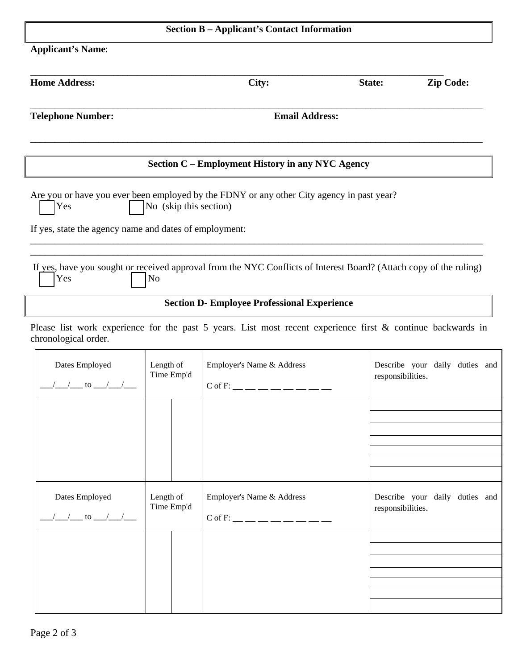| <b>Section B - Applicant's Contact Information</b>     |                         |                                                                                                                    |                   |                                |
|--------------------------------------------------------|-------------------------|--------------------------------------------------------------------------------------------------------------------|-------------------|--------------------------------|
| <b>Applicant's Name:</b>                               |                         |                                                                                                                    |                   |                                |
| <b>Home Address:</b>                                   |                         | City:                                                                                                              | State:            | <b>Zip Code:</b>               |
| <b>Telephone Number:</b>                               | <b>Email Address:</b>   |                                                                                                                    |                   |                                |
|                                                        |                         | Section C - Employment History in any NYC Agency                                                                   |                   |                                |
| Yes                                                    | No (skip this section)  | Are you or have you ever been employed by the FDNY or any other City agency in past year?                          |                   |                                |
| If yes, state the agency name and dates of employment: |                         |                                                                                                                    |                   |                                |
| Yes                                                    | N <sub>o</sub>          | If yes, have you sought or received approval from the NYC Conflicts of Interest Board? (Attach copy of the ruling) |                   |                                |
|                                                        |                         | <b>Section D- Employee Professional Experience</b>                                                                 |                   |                                |
| chronological order.                                   |                         | Please list work experience for the past 5 years. List most recent experience first & continue backwards in        |                   |                                |
| Dates Employed<br>$\frac{1}{2}$ to $\frac{1}{2}$       | Length of<br>Time Emp'd | Employer's Name & Address<br>$C$ of F: __ __ __ __ __ __ __ __                                                     | responsibilities. | Describe your daily duties and |
|                                                        |                         |                                                                                                                    |                   |                                |
|                                                        |                         |                                                                                                                    |                   |                                |
| Dates Employed<br>$\frac{1}{2}$ to $\frac{1}{2}$       | Length of<br>Time Emp'd | Employer's Name & Address<br>$C$ of F: __ __ __ __ __ __ __ __                                                     | responsibilities. | Describe your daily duties and |
|                                                        |                         |                                                                                                                    |                   |                                |
|                                                        |                         |                                                                                                                    |                   |                                |
|                                                        |                         |                                                                                                                    |                   |                                |